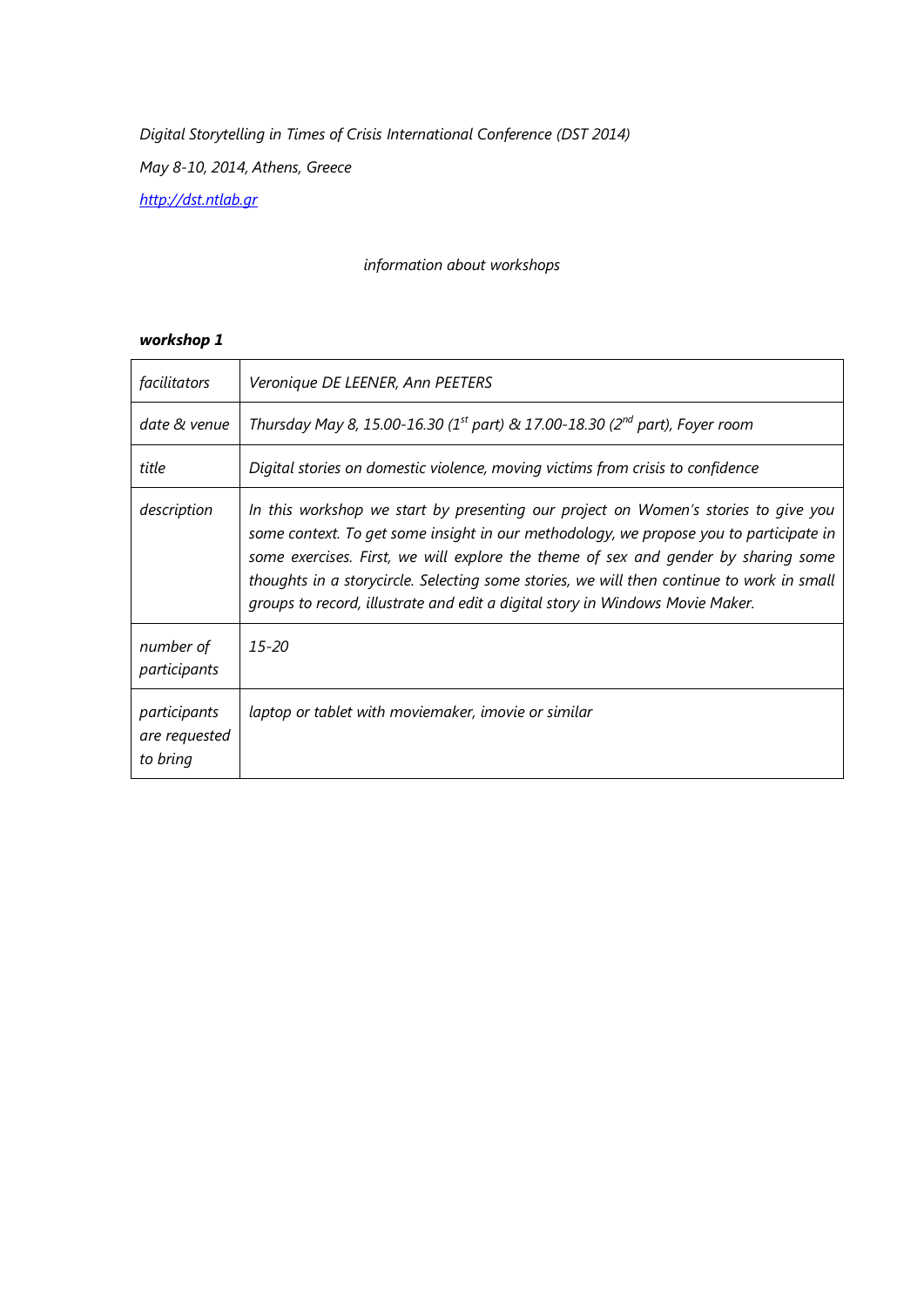#### *information about workshops*

| facilitators                              | Veronique DE LEENER, Ann PEETERS                                                                                                                                                                                                                                                                                                                                                                                                                 |
|-------------------------------------------|--------------------------------------------------------------------------------------------------------------------------------------------------------------------------------------------------------------------------------------------------------------------------------------------------------------------------------------------------------------------------------------------------------------------------------------------------|
| date & venue                              | Thursday May 8, 15.00-16.30 (1 <sup>st</sup> part) & 17.00-18.30 (2 <sup>nd</sup> part), Foyer room                                                                                                                                                                                                                                                                                                                                              |
| title                                     | Digital stories on domestic violence, moving victims from crisis to confidence                                                                                                                                                                                                                                                                                                                                                                   |
| description                               | In this workshop we start by presenting our project on Women's stories to give you<br>some context. To get some insight in our methodology, we propose you to participate in<br>some exercises. First, we will explore the theme of sex and gender by sharing some<br>thoughts in a storycircle. Selecting some stories, we will then continue to work in small<br>groups to record, illustrate and edit a digital story in Windows Movie Maker. |
| number of<br>participants                 | $15 - 20$                                                                                                                                                                                                                                                                                                                                                                                                                                        |
| participants<br>are requested<br>to bring | laptop or tablet with moviemaker, imovie or similar                                                                                                                                                                                                                                                                                                                                                                                              |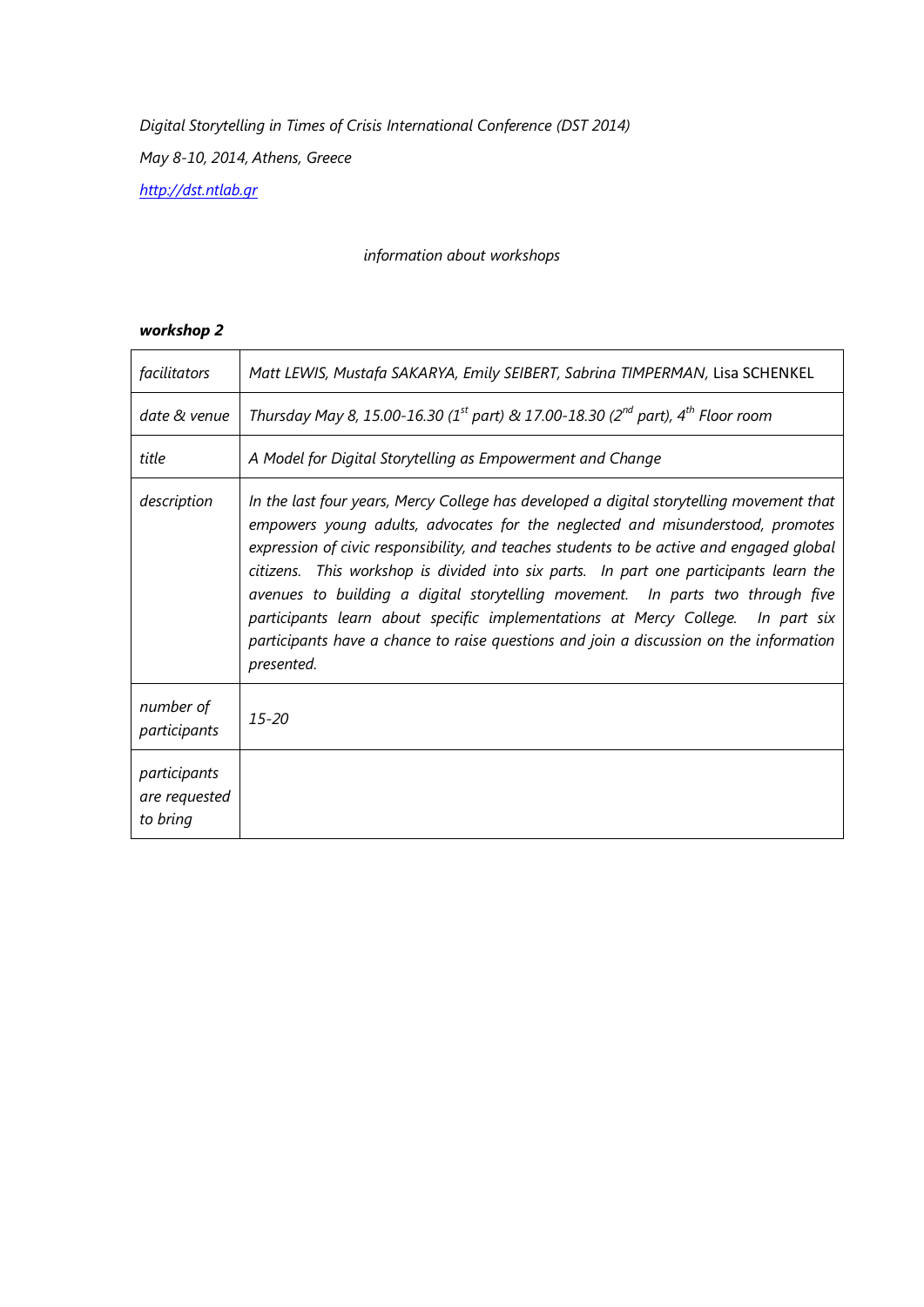# *information about workshops*

| facilitators                              | Matt LEWIS, Mustafa SAKARYA, Emily SEIBERT, Sabrina TIMPERMAN, Lisa SCHENKEL                                                                                                                                                                                                                                                                                                                                                                                                                                                                                                                                                                    |
|-------------------------------------------|-------------------------------------------------------------------------------------------------------------------------------------------------------------------------------------------------------------------------------------------------------------------------------------------------------------------------------------------------------------------------------------------------------------------------------------------------------------------------------------------------------------------------------------------------------------------------------------------------------------------------------------------------|
| date & venue                              | Thursday May 8, 15.00-16.30 (1 <sup>st</sup> part) & 17.00-18.30 (2 <sup>nd</sup> part), 4 <sup>th</sup> Floor room                                                                                                                                                                                                                                                                                                                                                                                                                                                                                                                             |
| title                                     | A Model for Digital Storytelling as Empowerment and Change                                                                                                                                                                                                                                                                                                                                                                                                                                                                                                                                                                                      |
| description                               | In the last four years, Mercy College has developed a digital storytelling movement that<br>empowers young adults, advocates for the neglected and misunderstood, promotes<br>expression of civic responsibility, and teaches students to be active and engaged global<br>citizens. This workshop is divided into six parts. In part one participants learn the<br>avenues to building a digital storytelling movement. In parts two through five<br>participants learn about specific implementations at Mercy College.<br>In part six<br>participants have a chance to raise questions and join a discussion on the information<br>presented. |
| number of<br>participants                 | $15 - 20$                                                                                                                                                                                                                                                                                                                                                                                                                                                                                                                                                                                                                                       |
| participants<br>are requested<br>to bring |                                                                                                                                                                                                                                                                                                                                                                                                                                                                                                                                                                                                                                                 |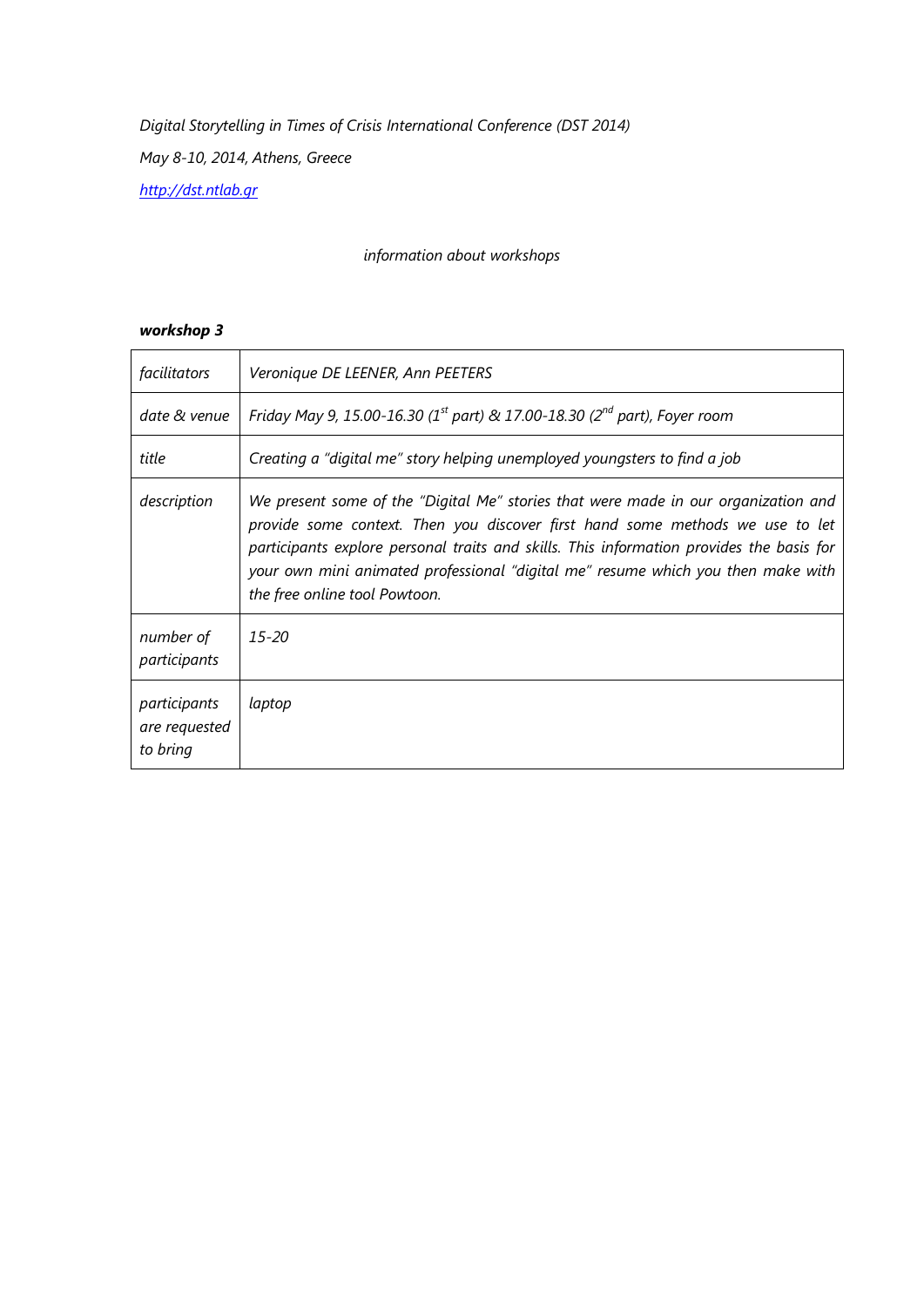# *information about workshops*

| facilitators                              | Veronique DE LEENER, Ann PEETERS                                                                                                                                                                                                                                                                                                                                                     |
|-------------------------------------------|--------------------------------------------------------------------------------------------------------------------------------------------------------------------------------------------------------------------------------------------------------------------------------------------------------------------------------------------------------------------------------------|
| date & venue                              | Friday May 9, 15.00-16.30 (1 <sup>st</sup> part) & 17.00-18.30 (2 <sup>nd</sup> part), Foyer room                                                                                                                                                                                                                                                                                    |
| title                                     | Creating a "digital me" story helping unemployed youngsters to find a job                                                                                                                                                                                                                                                                                                            |
| description                               | We present some of the "Digital Me" stories that were made in our organization and<br>provide some context. Then you discover first hand some methods we use to let<br>participants explore personal traits and skills. This information provides the basis for<br>your own mini animated professional "digital me" resume which you then make with<br>the free online tool Powtoon. |
| number of<br>participants                 | $15 - 20$                                                                                                                                                                                                                                                                                                                                                                            |
| participants<br>are requested<br>to bring | laptop                                                                                                                                                                                                                                                                                                                                                                               |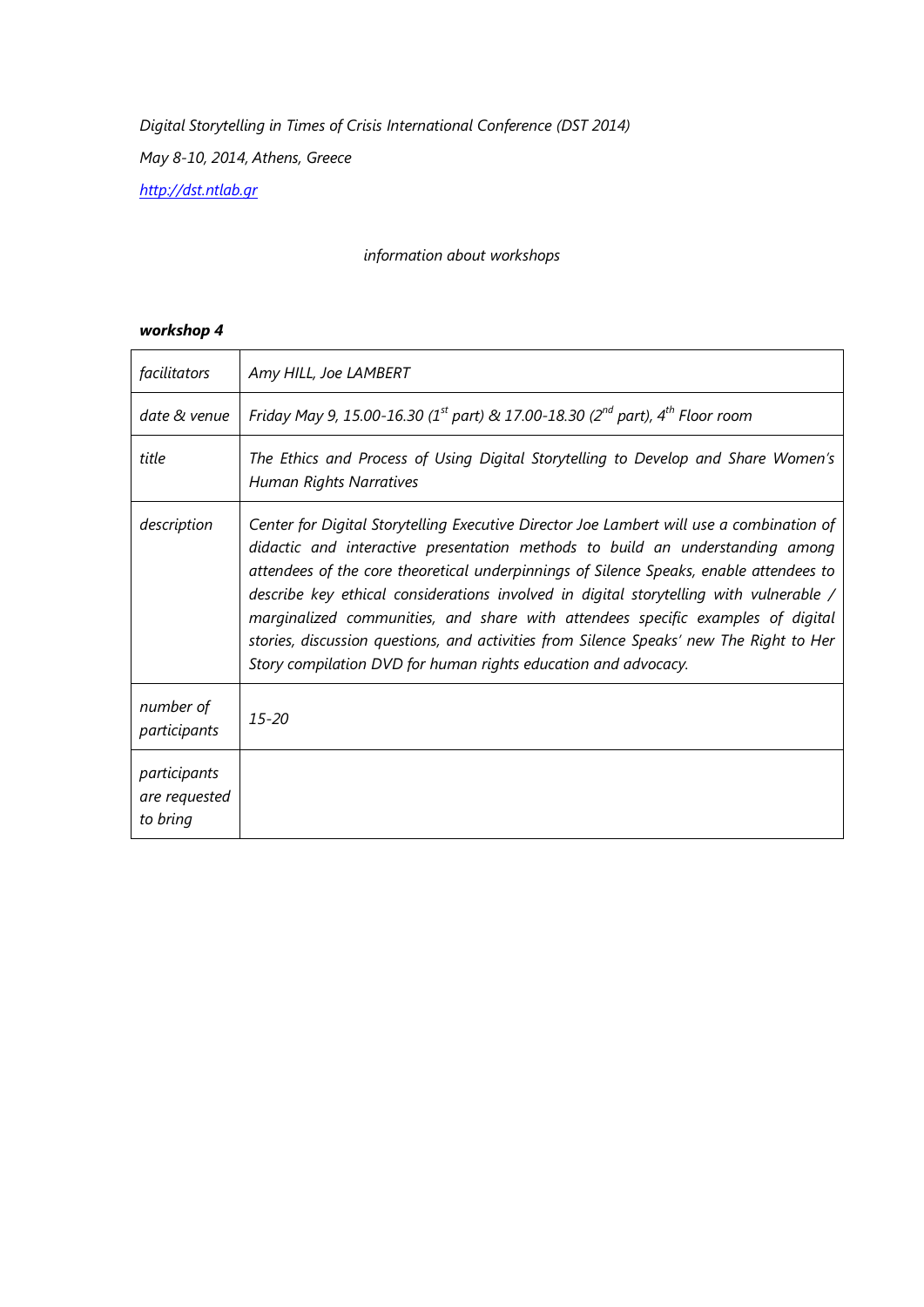*Digital Storytelling in Times of Crisis International Conference (DST 2014)*

*May 8-10, 2014, Athens, Greece*

*[http://dst.ntlab.gr](http://dst.ntlab.gr/)*

# *information about workshops*

| facilitators                              | Amy HILL, Joe LAMBERT                                                                                                                                                                                                                                                                                                                                                                                                                                                                                                                                                                                         |
|-------------------------------------------|---------------------------------------------------------------------------------------------------------------------------------------------------------------------------------------------------------------------------------------------------------------------------------------------------------------------------------------------------------------------------------------------------------------------------------------------------------------------------------------------------------------------------------------------------------------------------------------------------------------|
| date & venue                              | Friday May 9, 15.00-16.30 (1 <sup>st</sup> part) & 17.00-18.30 (2 <sup>nd</sup> part), 4 <sup>th</sup> Floor room                                                                                                                                                                                                                                                                                                                                                                                                                                                                                             |
| title                                     | The Ethics and Process of Using Digital Storytelling to Develop and Share Women's<br><b>Human Rights Narratives</b>                                                                                                                                                                                                                                                                                                                                                                                                                                                                                           |
| description                               | Center for Digital Storytelling Executive Director Joe Lambert will use a combination of<br>didactic and interactive presentation methods to build an understanding among<br>attendees of the core theoretical underpinnings of Silence Speaks, enable attendees to<br>describe key ethical considerations involved in digital storytelling with vulnerable /<br>marginalized communities, and share with attendees specific examples of digital<br>stories, discussion questions, and activities from Silence Speaks' new The Right to Her<br>Story compilation DVD for human rights education and advocacy. |
| number of<br>participants                 | $15 - 20$                                                                                                                                                                                                                                                                                                                                                                                                                                                                                                                                                                                                     |
| participants<br>are requested<br>to bring |                                                                                                                                                                                                                                                                                                                                                                                                                                                                                                                                                                                                               |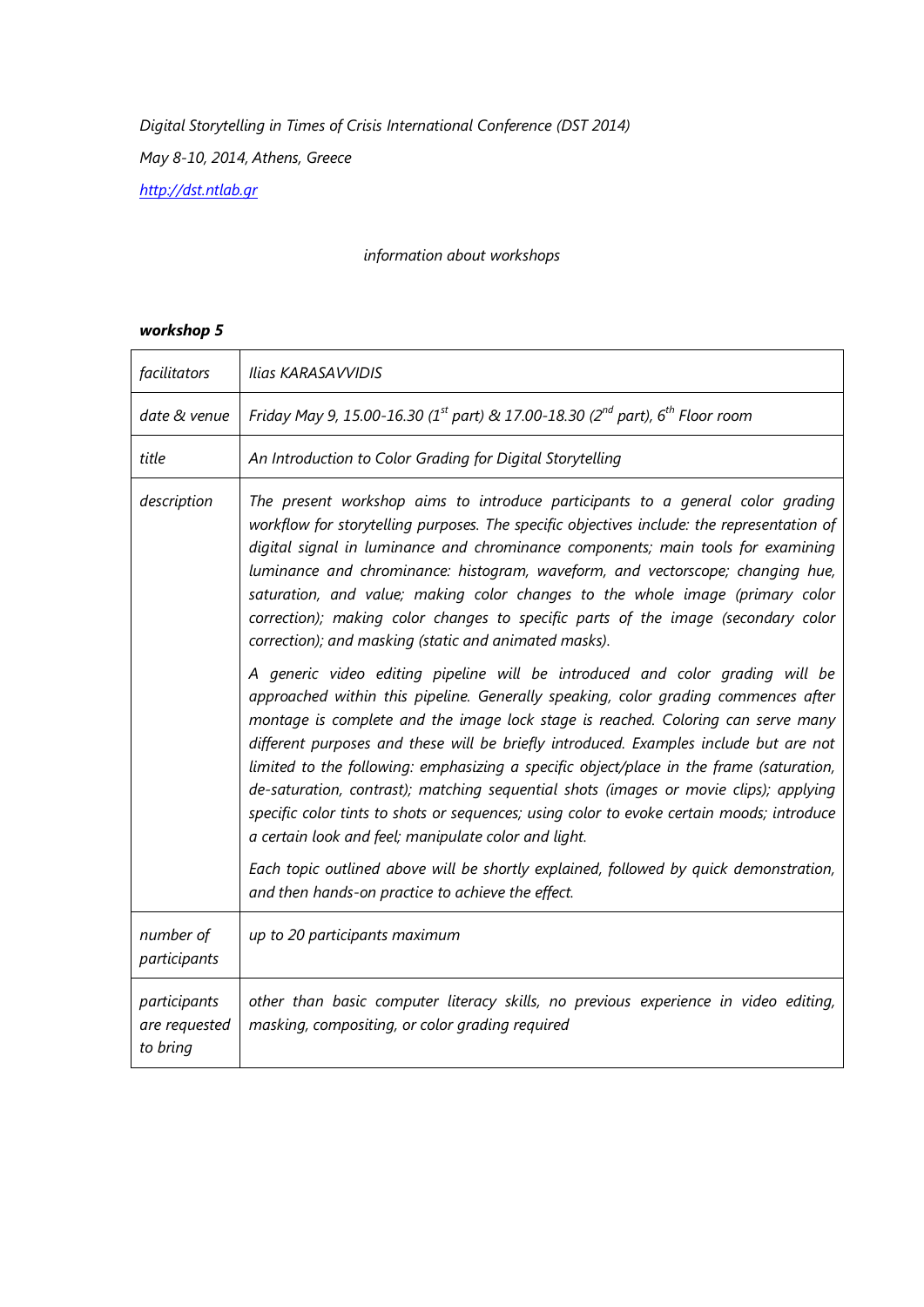# *information about workshops*

| facilitators                              | Ilias KARASAVVIDIS                                                                                                                                                                                                                                                                                                                                                                                                                                                                                                                                                                                                                                                                        |
|-------------------------------------------|-------------------------------------------------------------------------------------------------------------------------------------------------------------------------------------------------------------------------------------------------------------------------------------------------------------------------------------------------------------------------------------------------------------------------------------------------------------------------------------------------------------------------------------------------------------------------------------------------------------------------------------------------------------------------------------------|
| date & venue                              | Friday May 9, 15.00-16.30 (1 <sup>st</sup> part) & 17.00-18.30 (2 <sup>nd</sup> part), 6 <sup>th</sup> Floor room                                                                                                                                                                                                                                                                                                                                                                                                                                                                                                                                                                         |
| title                                     | An Introduction to Color Grading for Digital Storytelling                                                                                                                                                                                                                                                                                                                                                                                                                                                                                                                                                                                                                                 |
| description                               | The present workshop aims to introduce participants to a general color grading<br>workflow for storytelling purposes. The specific objectives include: the representation of<br>digital signal in luminance and chrominance components; main tools for examining<br>luminance and chrominance: histogram, waveform, and vectorscope; changing hue,<br>saturation, and value; making color changes to the whole image (primary color<br>correction); making color changes to specific parts of the image (secondary color<br>correction); and masking (static and animated masks).                                                                                                         |
|                                           | A generic video editing pipeline will be introduced and color grading will be<br>approached within this pipeline. Generally speaking, color grading commences after<br>montage is complete and the image lock stage is reached. Coloring can serve many<br>different purposes and these will be briefly introduced. Examples include but are not<br>limited to the following: emphasizing a specific object/place in the frame (saturation,<br>de-saturation, contrast); matching sequential shots (images or movie clips); applying<br>specific color tints to shots or sequences; using color to evoke certain moods; introduce<br>a certain look and feel; manipulate color and light. |
|                                           | Each topic outlined above will be shortly explained, followed by quick demonstration,<br>and then hands-on practice to achieve the effect.                                                                                                                                                                                                                                                                                                                                                                                                                                                                                                                                                |
| number of<br>participants                 | up to 20 participants maximum                                                                                                                                                                                                                                                                                                                                                                                                                                                                                                                                                                                                                                                             |
| participants<br>are requested<br>to bring | other than basic computer literacy skills, no previous experience in video editing,<br>masking, compositing, or color grading required                                                                                                                                                                                                                                                                                                                                                                                                                                                                                                                                                    |